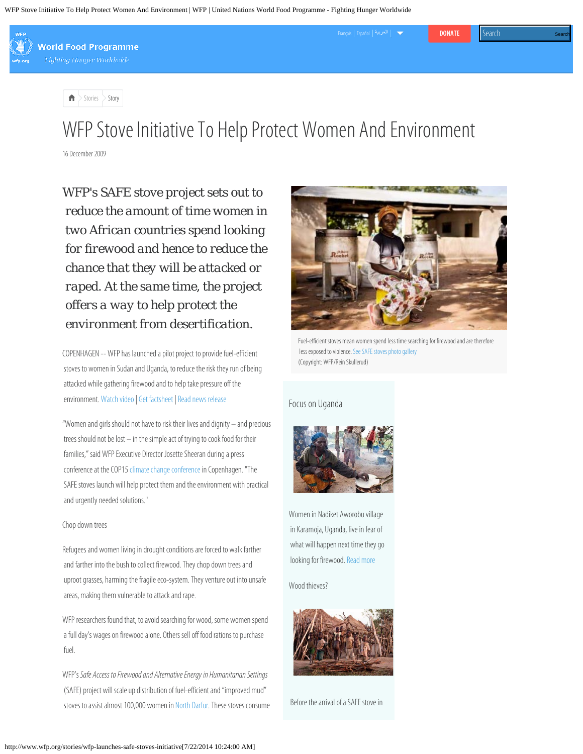WFP Stove Initiative To Help Protect Women And Environment | WFP | United Nations World Food Programme - Fighting Hunger Worldwide



**World Food Programme** 

**Fighting Hunger Worldwide** 

 $>$  [Stories](http://www.wfp.org/news/stories)  $>$  Story

## WFP St[ove Initiative To Help Protect Women And Environmen](https://give.wfp.org/631/?step=country&lead_source=2014-wfp-genemergency-lightbox1&form_tag=2014-wfp-genemergency-lightbox1)t

16 December 2009

*WFP's SAFE stove project sets out to reduce the amount of time women in two African countries spend looking for firewood and hence to reduce the chance that they will be attacked or raped. At the same time, the project offers a way to help protect the environment from desertification.*

COPENHAGEN -- WFP has launched a pilot project to provide fuel-efficient stoves to women in Sudan and Uganda, to reduce the risk they run of being attacked while gathering firewood and to help take pressure off the environment. [Watch video](http://www.wfp.org/videos/safe-stoves-benefit-women-and-environment) | [Get factsheet](http://documents.wfp.org/stellent/groups/public/documents/newsroom/wfp213337.pdf) | [Read news release](http://www.wfp.org/news/news-release/wfp-launches-safe-stoves-initiative-protect-women-and-save-fuel)

"Women and girls should not have to risk their lives and dignity – and precious trees should not be lost – in the simple act of trying to cook food for their families," said WFP Executive Director Josette Sheeran during a press conference at the COP15 [climate change conference](http://www.wfp.org/stories/hunger-and-climate-change-copenhagen) in Copenhagen. "The SAFE stoves launch will help protect them and the environment with practical and urgently needed solutions."

## Chop down trees

Refugees and women living in drought conditions are forced to walk farther and farther into the bush to collect firewood. They chop down trees and uproot grasses, harming the fragile eco-system. They venture out into unsafe areas, making them vulnerable to attack and rape.

WFP researchers found that, to avoid searching for wood, some women spend a full day's wages on firewood alone. Others sell off food rations to purchase fuel.

WFP's *Safe Access to Firewood and Alternative Energy in Humanitarian Settings* (SAFE) project will scale up distribution of fuel-efficient and "improved mud" stoves to assist almost 100,000 women in [North Darfur](http://countries/sudan). These stoves consume



[Français](http://fr.wfp.org/) [Español](http://es.wfp.org/) **[DONATE](https://give.wfp.org/?step=country&lead_source=2014-wfp-donateheader&form_tag=2014-wfp-donateheader)** [العربية](http://ar.wfp.org/)

Fuel-efficient stoves mean women spend less time searching for firewood and are therefore less exposed to violence. [See SAFE stoves photo gallery](http://www.wfp.org/photos/gallery/safe-stoves) (Copyright: WFP/Rein Skullerud)

## Focus on Uganda



Women in Nadiket Aworobu village in Karamoja, Uganda, live in fear of what will happen next time they go looking for firewood. [Read more](http://www.wfp.org/stories/uganda-safe-stoves-help-women-karamoja)

Wood thieves?



Before the arrival of a SAFE stove in

Search